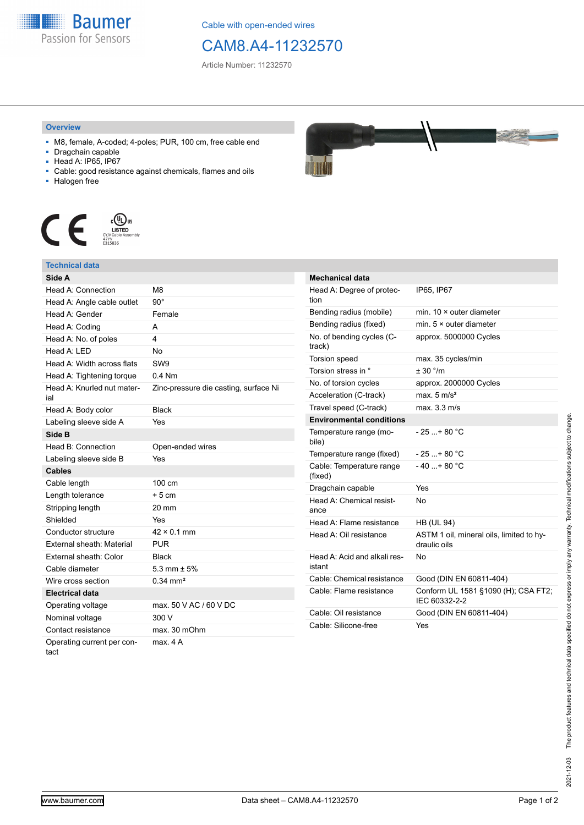

Cable with open-ended wires

## CAM8.A4-11232570

Article Number: 11232570

## **Overview**

- M8, female, A-coded; 4-poles; PUR, 100 cm, free cable end
- Dragchain capable
- Head A: IP65, IP67
- Cable: good resistance against chemicals, flames and oils
- Halogen free



## **Technical data**

| Side A                            |                                       |
|-----------------------------------|---------------------------------------|
| Head A: Connection                | M8                                    |
| Head A: Angle cable outlet        | $90^\circ$                            |
| Head A: Gender                    | Female                                |
| Head A: Coding                    | A                                     |
| Head A: No. of poles              | 4                                     |
| Head A: LED                       | <b>No</b>                             |
| Head A: Width across flats        | SW <sub>9</sub>                       |
| Head A: Tightening torque         | $0.4$ Nm                              |
| Head A: Knurled nut mater-<br>ial | Zinc-pressure die casting, surface Ni |
| Head A: Body color                | <b>Black</b>                          |
| Labeling sleeve side A            | Yes                                   |
| Side B                            |                                       |
| Head B: Connection                | Open-ended wires                      |
| Labeling sleeve side B            | Yes                                   |
| <b>Cables</b>                     |                                       |
| Cable length                      | 100 cm                                |
| Length tolerance                  | $+5cm$                                |
| Stripping length                  | 20 mm                                 |
| Shielded                          | Yes                                   |
| Conductor structure               | $42 \times 0.1$ mm                    |
| <b>External sheath: Material</b>  | <b>PUR</b>                            |
| External sheath: Color            | <b>Black</b>                          |
| Cable diameter                    | 5.3 mm $\pm$ 5%                       |
| Wire cross section                | $0.34 \, \text{mm}^2$                 |
| <b>Electrical data</b>            |                                       |
| Operating voltage                 | max. 50 V AC / 60 V DC                |
| Nominal voltage                   | 300 V                                 |
|                                   |                                       |
| Contact resistance                | max. 30 mOhm                          |



| Mechanical data                        |                                                          |
|----------------------------------------|----------------------------------------------------------|
| Head A: Degree of protec-<br>tion      | IP65, IP67                                               |
| Bending radius (mobile)                | min. $10 \times$ outer diameter                          |
| Bending radius (fixed)                 | min. $5 \times$ outer diameter                           |
| No. of bending cycles (C-<br>track)    | approx. 5000000 Cycles                                   |
| Torsion speed                          | max. 35 cycles/min                                       |
| Torsion stress in °                    | ± 30 °/m                                                 |
| No. of torsion cycles                  | approx. 2000000 Cycles                                   |
| Acceleration (C-track)                 | max. $5 \text{ m/s}^2$                                   |
| Travel speed (C-track)                 | max. 3.3 m/s                                             |
| <b>Environmental conditions</b>        |                                                          |
| Temperature range (mo-<br>bile)        | $-25$ + 80 °C                                            |
| Temperature range (fixed)              | $-25+80 °C$                                              |
| Cable: Temperature range<br>(fixed)    | $-40+80 °C$                                              |
| Dragchain capable                      | Yes                                                      |
| Head A: Chemical resist-<br>ance       | No                                                       |
| Head A: Flame resistance               | <b>HB (UL 94)</b>                                        |
| Head A: Oil resistance                 | ASTM 1 oil, mineral oils, limited to hy-<br>draulic oils |
| Head A: Acid and alkali res-<br>istant | No                                                       |
| Cable: Chemical resistance             | Good (DIN EN 60811-404)                                  |
| Cable: Flame resistance                | Conform UL 1581 §1090 (H); CSA FT2;<br>IEC 60332-2-2     |
| Cable: Oil resistance                  | Good (DIN EN 60811-404)                                  |
| Cable: Silicone-free                   | Yes                                                      |